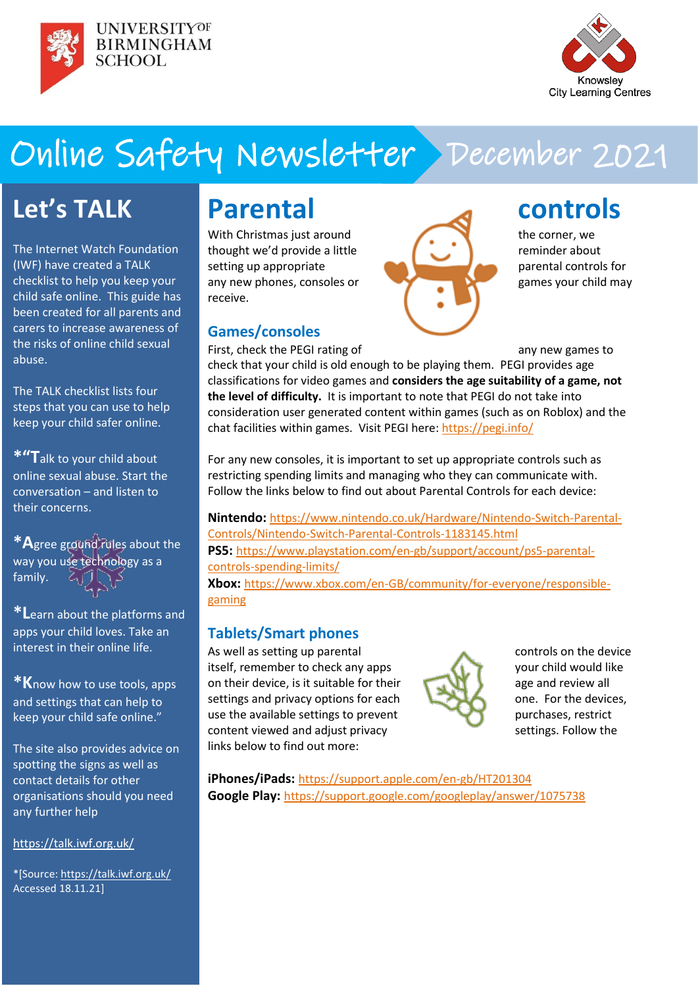



# Online Safety Newsletter December 2021

# **Let's TALK**

The Internet Watch Foundation (IWF) have created a TALK checklist to help you keep your child safe online. This guide has been created for all parents and carers to increase awareness of the risks of online child sexual abuse.

The TALK checklist lists four steps that you can use to help keep your child safer online.

**\*"T**alk to your child about online sexual abuse. Start the conversation – and listen to their concerns.

**\*A**gree ground rules about the way you use technology as a family.

**\*L**earn about the platforms and apps your child loves. Take an interest in their online life.

**\*K**now how to use tools, apps and settings that can help to keep your child safe online."

The site also provides advice on spotting the signs as well as contact details for other organisations should you need any further help

<https://talk.iwf.org.uk/>

\*[Source: <https://talk.iwf.org.uk/> Accessed 18.11.21]

# **Parental controls**

thought we'd provide a little  $\begin{pmatrix} 1 & 1 \\ 1 & 1 \end{pmatrix}$  reminder about setting up appropriate **particle** parental controls for any new phones, consoles or games your child may receive.

### **Games/consoles**

With Christmas just around  $\blacksquare$  the corner, we

First, check the PEGI rating of any new games to check that your child is old enough to be playing them. PEGI provides age classifications for video games and **considers the age suitability of a game, not the level of difficulty.** It is important to note that PEGI do not take into consideration user generated content within games (such as on Roblox) and the chat facilities within games. Visit PEGI here: <https://pegi.info/>

For any new consoles, it is important to set up appropriate controls such as restricting spending limits and managing who they can communicate with. Follow the links below to find out about Parental Controls for each device:

**Nintendo:** [https://www.nintendo.co.uk/Hardware/Nintendo-Switch-Parental-](https://www.nintendo.co.uk/Hardware/Nintendo-Switch-Parental-Controls/Nintendo-Switch-Parental-Controls-1183145.html)[Controls/Nintendo-Switch-Parental-Controls-1183145.html](https://www.nintendo.co.uk/Hardware/Nintendo-Switch-Parental-Controls/Nintendo-Switch-Parental-Controls-1183145.html) **PS5:** [https://www.playstation.com/en-gb/support/account/ps5-parental](https://www.playstation.com/en-gb/support/account/ps5-parental-controls-spending-limits/)[controls-spending-limits/](https://www.playstation.com/en-gb/support/account/ps5-parental-controls-spending-limits/) **Xbox:** [https://www.xbox.com/en-GB/community/for-everyone/responsible](https://www.xbox.com/en-GB/community/for-everyone/responsible-gaming)[gaming](https://www.xbox.com/en-GB/community/for-everyone/responsible-gaming)

## **Tablets/Smart phones**

As well as setting up parental controls on the device itself, remember to check any apps your child would like on their device, is it suitable for their  $\mathbb{R}$  age and review all settings and privacy options for each  $\Box$  one. For the devices, use the available settings to prevent purchases, restrict content viewed and adjust privacy settings. Follow the links below to find out more:



**iPhones/iPads:** <https://support.apple.com/en-gb/HT201304> **Google Play:** <https://support.google.com/googleplay/answer/1075738>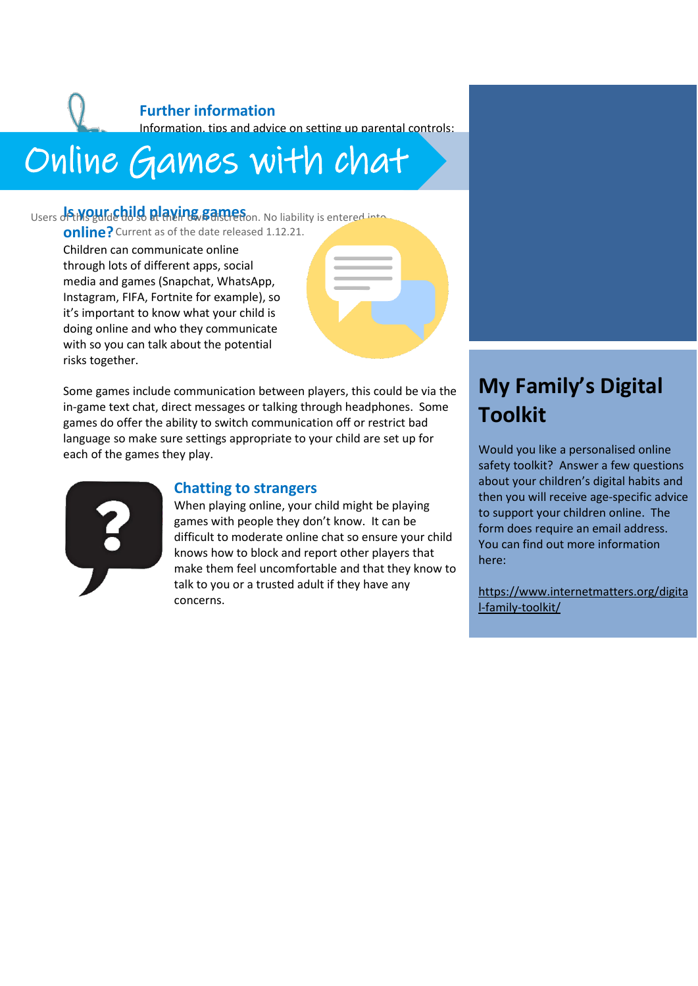# **Further information** Information, tips and advice on setting up parental controls:

### https://www.nspcc.org/ $\sim$ aames vo Online [Games w](https://www.nspcc.org.uk/keeping-children-safe/online-safety/parental-controls/)ith chat

Users **of the guide did dependence of the source of the USA of the United States of the United States of the United States online?** Current as of the date released 1.12.21.

Children can communicate online through lots of different apps, social media and games (Snapchat, WhatsApp, Instagram, FIFA, Fortnite for example), so it's important to know what your child is doing online and who they communicate with so you can talk about the potential risks together.

Some games include communication between players, this could be via the in-game text chat, direct messages or talking through headphones. Some games do offer the ability to switch communication off or restrict bad language so make sure settings appropriate to your child are set up for each of the games they play.



### **Chatting to strangers**

When playing online, your child might be playing games with people they don't know. It can be difficult to moderate online chat so ensure your child knows how to block and report other players that make them feel uncomfortable and that they know to talk to you or a trusted adult if they have any concerns.

# **My Family's Digital Toolkit**

Would you like a personalised online safety toolkit? Answer a few questions about your children's digital habits and then you will receive age-specific advice to support your children online. The form does require an email address. You can find out more information here:

[https://www.internetmatters.org/digita](https://www.internetmatters.org/digital-family-toolkit/) [l-family-toolkit/](https://www.internetmatters.org/digital-family-toolkit/)